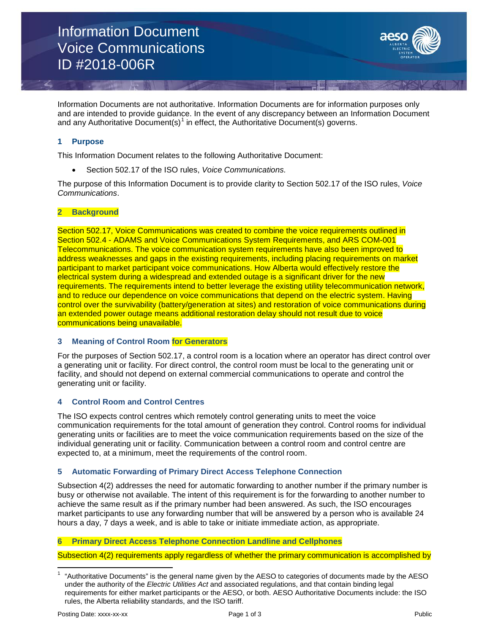Information Document Voice Communications ID #2018-006R

Information Documents are not authoritative. Information Documents are for information purposes only and are intended to provide guidance. In the event of any discrepancy between an Information Document and any Authoritative Document(s)<sup>[1](#page-0-0)</sup> in effect, the Authoritative Document(s) governs.

## **1 Purpose**

This Information Document relates to the following Authoritative Document:

• Section 502.17 of the ISO rules, *Voice Communications.*

The purpose of this Information Document is to provide clarity to Section 502.17 of the ISO rules, *Voice Communications*.

#### **2 Background**

Section 502.17, Voice Communications was created to combine the voice requirements outlined in Section 502.4 - ADAMS and Voice Communications System Requirements, and ARS COM-001 Telecommunications. The voice communication system requirements have also been improved to address weaknesses and gaps in the existing requirements, including placing requirements on market participant to market participant voice communications. How Alberta would effectively restore the electrical system during a widespread and extended outage is a significant driver for the new requirements. The requirements intend to better leverage the existing utility telecommunication network, and to reduce our dependence on voice communications that depend on the electric system. Having control over the survivability (battery/generation at sites) and restoration of voice communications during an extended power outage means additional restoration delay should not result due to voice communications being unavailable.

### **3 Meaning of Control Room for Generators**

For the purposes of Section 502.17, a control room is a location where an operator has direct control over a generating unit or facility. For direct control, the control room must be local to the generating unit or facility, and should not depend on external commercial communications to operate and control the generating unit or facility.

### **4 Control Room and Control Centres**

The ISO expects control centres which remotely control generating units to meet the voice communication requirements for the total amount of generation they control. Control rooms for individual generating units or facilities are to meet the voice communication requirements based on the size of the individual generating unit or facility. Communication between a control room and control centre are expected to, at a minimum, meet the requirements of the control room.

### **5 Automatic Forwarding of Primary Direct Access Telephone Connection**

Subsection 4(2) addresses the need for automatic forwarding to another number if the primary number is busy or otherwise not available. The intent of this requirement is for the forwarding to another number to achieve the same result as if the primary number had been answered. As such, the ISO encourages market participants to use any forwarding number that will be answered by a person who is available 24 hours a day, 7 days a week, and is able to take or initiate immediate action, as appropriate.

### **6 Primary Direct Access Telephone Connection Landline and Cellphones**

Subsection 4(2) requirements apply regardless of whether the primary communication is accomplished by

<span id="page-0-0"></span><sup>1</sup> "Authoritative Documents" is the general name given by the AESO to categories of documents made by the AESO under the authority of the *Electric Utilities Act* and associated regulations, and that contain binding legal requirements for either market participants or the AESO, or both. AESO Authoritative Documents include: the ISO rules, the Alberta reliability standards, and the ISO tariff.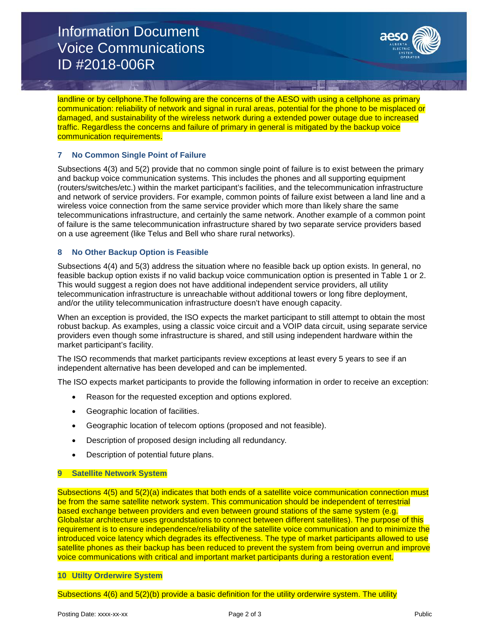# Information Document Voice Communications ID #2018-006R



landline or by cellphone.The following are the concerns of the AESO with using a cellphone as primary communication: reliability of network and signal in rural areas, potential for the phone to be misplaced or damaged, and sustainability of the wireless network during a extended power outage due to increased traffic. Regardless the concerns and failure of primary in general is mitigated by the backup voice communication requirements.

## **7 No Common Single Point of Failure**

Subsections 4(3) and 5(2) provide that no common single point of failure is to exist between the primary and backup voice communication systems. This includes the phones and all supporting equipment (routers/switches/etc.) within the market participant's facilities, and the telecommunication infrastructure and network of service providers. For example, common points of failure exist between a land line and a wireless voice connection from the same service provider which more than likely share the same telecommunications infrastructure, and certainly the same network. Another example of a common point of failure is the same telecommunication infrastructure shared by two separate service providers based on a use agreement (like Telus and Bell who share rural networks).

### **8 No Other Backup Option is Feasible**

Subsections 4(4) and 5(3) address the situation where no feasible back up option exists. In general, no feasible backup option exists if no valid backup voice communication option is presented in Table 1 or 2. This would suggest a region does not have additional independent service providers, all utility telecommunication infrastructure is unreachable without additional towers or long fibre deployment, and/or the utility telecommunication infrastructure doesn't have enough capacity.

When an exception is provided, the ISO expects the market participant to still attempt to obtain the most robust backup. As examples, using a classic voice circuit and a VOIP data circuit, using separate service providers even though some infrastructure is shared, and still using independent hardware within the market participant's facility.

The ISO recommends that market participants review exceptions at least every 5 years to see if an independent alternative has been developed and can be implemented.

The ISO expects market participants to provide the following information in order to receive an exception:

- Reason for the requested exception and options explored.
- Geographic location of facilities.
- Geographic location of telecom options (proposed and not feasible).
- Description of proposed design including all redundancy.
- Description of potential future plans.

### **9 Satellite Network System**

Subsections 4(5) and 5(2)(a) indicates that both ends of a satellite voice communication connection must be from the same satellite network system. This communication should be independent of terrestrial based exchange between providers and even between ground stations of the same system (e.g. Globalstar architecture uses groundstations to connect between different satellites). The purpose of this requirement is to ensure independence/reliability of the satellite voice communication and to minimize the introduced voice latency which degrades its effectiveness. The type of market participants allowed to use satellite phones as their backup has been reduced to prevent the system from being overrun and improve voice communications with critical and important market participants during a restoration event.

### **10 Utilty Orderwire System**

Subsections 4(6) and 5(2)(b) provide a basic definition for the utility orderwire system. The utility